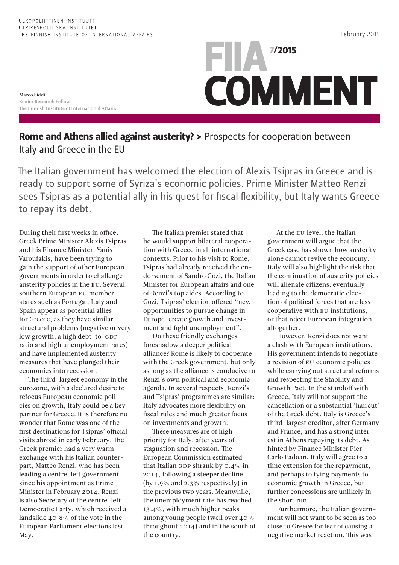## FIIA 7/2015 **COMMENT**

Marco Siddi Senior Research Fellow The Finnish Institute of International Affairs

## Rome and Athens allied against austerity? > Prospects for cooperation between Italy and Greece in the EU

The Italian government has welcomed the election of Alexis Tsipras in Greece and is ready to support some of Syriza's economic policies. Prime Minister Matteo Renzi sees Tsipras as a potential ally in his quest for fiscal flexibility, but Italy wants Greece to repay its debt.

During their first weeks in office, Greek Prime Minister Alexis Tsipras and his Finance Minister, Yanis Varoufakis, have been trying to gain the support of other European governments in order to challenge austerity policies in the EU. Several southern European EU member states such as Portugal, Italy and Spain appear as potential allies for Greece, as they have similar structural problems (negative or very low growth, a high debt-to-GDP ratio and high unemployment rates) and have implemented austerity measures that have plunged their economies into recession.

The third-largest economy in the eurozone, with a declared desire to refocus European economic policies on growth, Italy could be a key partner for Greece. It is therefore no wonder that Rome was one of the first destinations for Tsipras' official visits abroad in early February. The Greek premier had a very warm exchange with his Italian counterpart, Matteo Renzi, who has been leading a centre-left government since his appointment as Prime Minister in February 2014. Renzi is also Secretary of the centre-left Democratic Party, which received a landslide 40.8% of the vote in the European Parliament elections last May.

The Italian premier stated that he would support bilateral cooperation with Greece in all international contexts. Prior to his visit to Rome, Tsipras had already received the endorsement of Sandro Gozi, the Italian Minister for European affairs and one of Renzi's top aides. According to Gozi, Tsipras' election offered "new opportunities to pursue change in Europe, create growth and investment and fight unemployment".

Do these friendly exchanges foreshadow a deeper political alliance? Rome is likely to cooperate with the Greek government, but only as long as the alliance is conducive to Renzi's own political and economic agenda. In several respects, Renzi's and Tsipras' programmes are similar: Italy advocates more flexibility on fiscal rules and much greater focus on investments and growth.

These measures are of high priority for Italy, after years of stagnation and recession. The European Commission estimated that Italian GDP shrank by 0.4% in 2014, following a steeper decline (by 1.9% and 2.3% respectively) in the previous two years. Meanwhile, the unemployment rate has reached 13.4%, with much higher peaks among young people (well over 40% throughout 2014) and in the south of the country.

At the EU level, the Italian government will argue that the Greek case has shown how austerity alone cannot revive the economy. Italy will also highlight the risk that the continuation of austerity policies will alienate citizens, eventually leading to the democratic election of political forces that are less cooperative with EU institutions, or that reject European integration altogether.

However, Renzi does not want a clash with European institutions. His government intends to negotiate a revision of EU economic policies while carrying out structural reforms and respecting the Stability and Growth Pact. In the standoff with Greece, Italy will not support the cancellation or a substantial 'haircut' of the Greek debt. Italy is Greece's third-largest creditor, after Germany and France, and has a strong interest in Athens repaying its debt. As hinted by Finance Minister Pier Carlo Padoan, Italy will agree to a time extension for the repayment, and perhaps to tying payments to economic growth in Greece, but further concessions are unlikely in the short run.

Furthermore, the Italian government will not want to be seen as too close to Greece for fear of causing a negative market reaction. This was